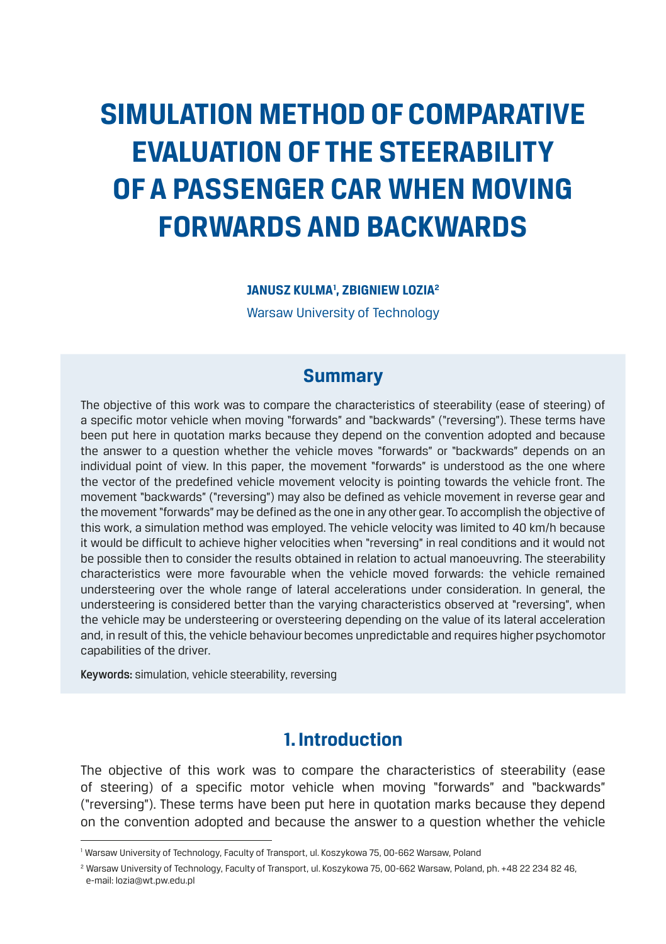# **SIMULATION METHOD OF COMPARATIVE EVALUATION OF THE STEERABILITY OF A PASSENGER CAR WHEN MOVING FORWARDS AND BACKWARDS**

**JANUSZ KULMA1 , ZBIGNIEW LOZIA2**

Warsaw University of Technology

# **Summary**

The objective of this work was to compare the characteristics of steerability (ease of steering) of a specific motor vehicle when moving "forwards" and "backwards" ("reversing"). These terms have been put here in quotation marks because they depend on the convention adopted and because the answer to a question whether the vehicle moves "forwards" or "backwards" depends on an individual point of view. In this paper, the movement "forwards" is understood as the one where the vector of the predefined vehicle movement velocity is pointing towards the vehicle front. The movement "backwards" ("reversing") may also be defined as vehicle movement in reverse gear and the movement "forwards" may be defined as the one in any other gear. To accomplish the objective of this work, a simulation method was employed. The vehicle velocity was limited to 40 km/h because it would be difficult to achieve higher velocities when "reversing" in real conditions and it would not be possible then to consider the results obtained in relation to actual manoeuvring. The steerability characteristics were more favourable when the vehicle moved forwards: the vehicle remained understeering over the whole range of lateral accelerations under consideration. In general, the understeering is considered better than the varying characteristics observed at "reversing", when the vehicle may be understeering or oversteering depending on the value of its lateral acceleration and, in result of this, the vehicle behaviour becomes unpredictable and requires higher psychomotor capabilities of the driver.

Keywords: simulation, vehicle steerability, reversing

# **1. Introduction**

The objective of this work was to compare the characteristics of steerability (ease of steering) of a specific motor vehicle when moving "forwards" and "backwards" ("reversing"). These terms have been put here in quotation marks because they depend on the convention adopted and because the answer to a question whether the vehicle

<sup>&</sup>lt;sup>1</sup> Warsaw University of Technology, Faculty of Transport, ul. Koszykowa 75, 00-662 Warsaw, Poland

<sup>&</sup>lt;sup>2</sup> Warsaw University of Technology, Faculty of Transport, ul. Koszykowa 75, 00-662 Warsaw, Poland, ph. +48 22 234 82 46, e-mail: lozia@wt.pw.edu.pl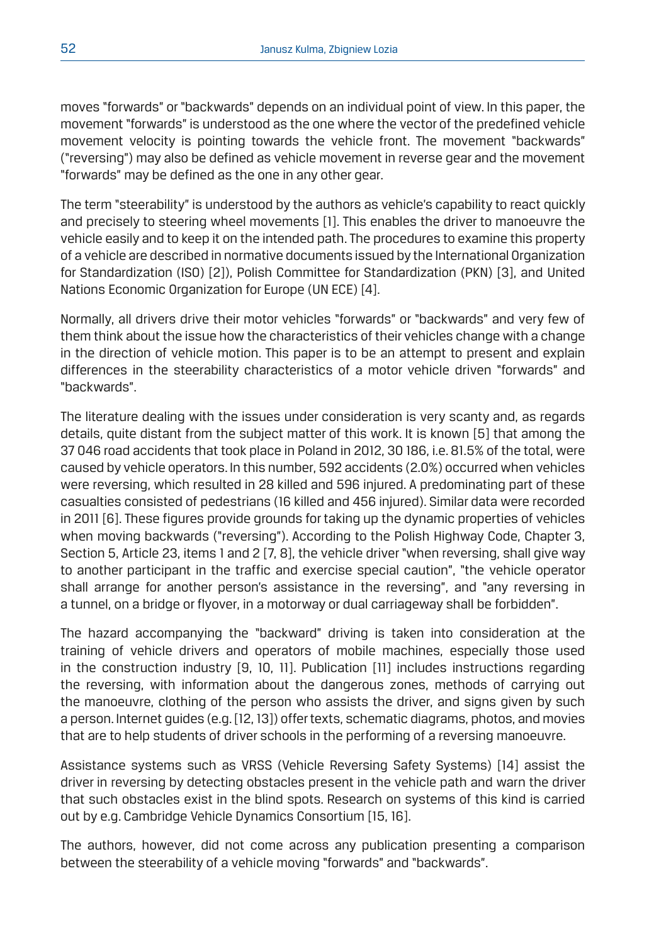moves "forwards" or "backwards" depends on an individual point of view. In this paper, the movement "forwards" is understood as the one where the vector of the predefined vehicle movement velocity is pointing towards the vehicle front. The movement "backwards" ("reversing") may also be defined as vehicle movement in reverse gear and the movement "forwards" may be defined as the one in any other gear.

The term "steerability" is understood by the authors as vehicle's capability to react quickly and precisely to steering wheel movements [1]. This enables the driver to manoeuvre the vehicle easily and to keep it on the intended path. The procedures to examine this property of a vehicle are described in normative documents issued by the International Organization for Standardization (ISO) [2]), Polish Committee for Standardization (PKN) [3], and United Nations Economic Organization for Europe (UN ECE) [4].

Normally, all drivers drive their motor vehicles "forwards" or "backwards" and very few of them think about the issue how the characteristics of their vehicles change with a change in the direction of vehicle motion. This paper is to be an attempt to present and explain differences in the steerability characteristics of a motor vehicle driven "forwards" and "backwards".

The literature dealing with the issues under consideration is very scanty and, as regards details, quite distant from the subject matter of this work. It is known [5] that among the 37 046 road accidents that took place in Poland in 2012, 30 186, i.e. 81.5% of the total, were caused by vehicle operators. In this number, 592 accidents (2.0%) occurred when vehicles were reversing, which resulted in 28 killed and 596 injured. A predominating part of these casualties consisted of pedestrians (16 killed and 456 injured). Similar data were recorded in 2011 [6]. These figures provide grounds for taking up the dynamic properties of vehicles when moving backwards ("reversing"). According to the Polish Highway Code, Chapter 3, Section 5, Article 23, items 1 and 2 [7, 8], the vehicle driver "when reversing, shall give way to another participant in the traffic and exercise special caution", "the vehicle operator shall arrange for another person's assistance in the reversing", and "any reversing in a tunnel, on a bridge or flyover, in a motorway or dual carriageway shall be forbidden".

The hazard accompanying the "backward" driving is taken into consideration at the training of vehicle drivers and operators of mobile machines, especially those used in the construction industry [9, 10, 11]. Publication [11] includes instructions regarding the reversing, with information about the dangerous zones, methods of carrying out the manoeuvre, clothing of the person who assists the driver, and signs given by such a person. Internet guides (e.g. [12, 13]) offer texts, schematic diagrams, photos, and movies that are to help students of driver schools in the performing of a reversing manoeuvre.

Assistance systems such as VRSS (Vehicle Reversing Safety Systems) [14] assist the driver in reversing by detecting obstacles present in the vehicle path and warn the driver that such obstacles exist in the blind spots. Research on systems of this kind is carried out by e.g. Cambridge Vehicle Dynamics Consortium [15, 16].

The authors, however, did not come across any publication presenting a comparison between the steerability of a vehicle moving "forwards" and "backwards".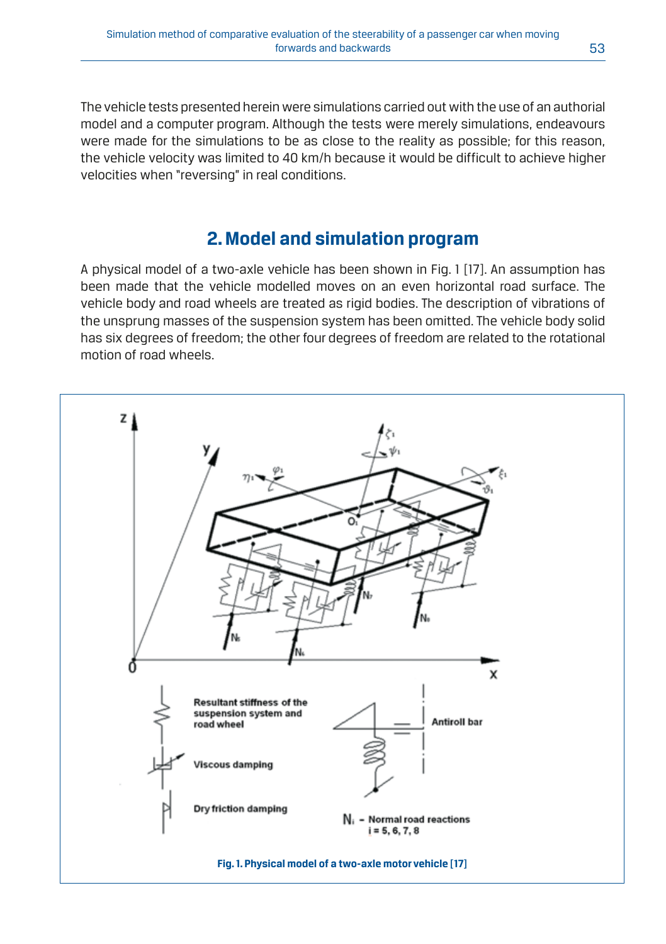The vehicle tests presented herein were simulations carried out with the use of an authorial model and a computer program. Although the tests were merely simulations, endeavours were made for the simulations to be as close to the reality as possible; for this reason, the vehicle velocity was limited to 40 km/h because it would be difficult to achieve higher velocities when "reversing" in real conditions.

# **2. Model and simulation program**

A physical model of a two-axle vehicle has been shown in Fig. 1 [17]. An assumption has been made that the vehicle modelled moves on an even horizontal road surface. The vehicle body and road wheels are treated as rigid bodies. The description of vibrations of the unsprung masses of the suspension system has been omitted. The vehicle body solid has six degrees of freedom; the other four degrees of freedom are related to the rotational motion of road wheels.

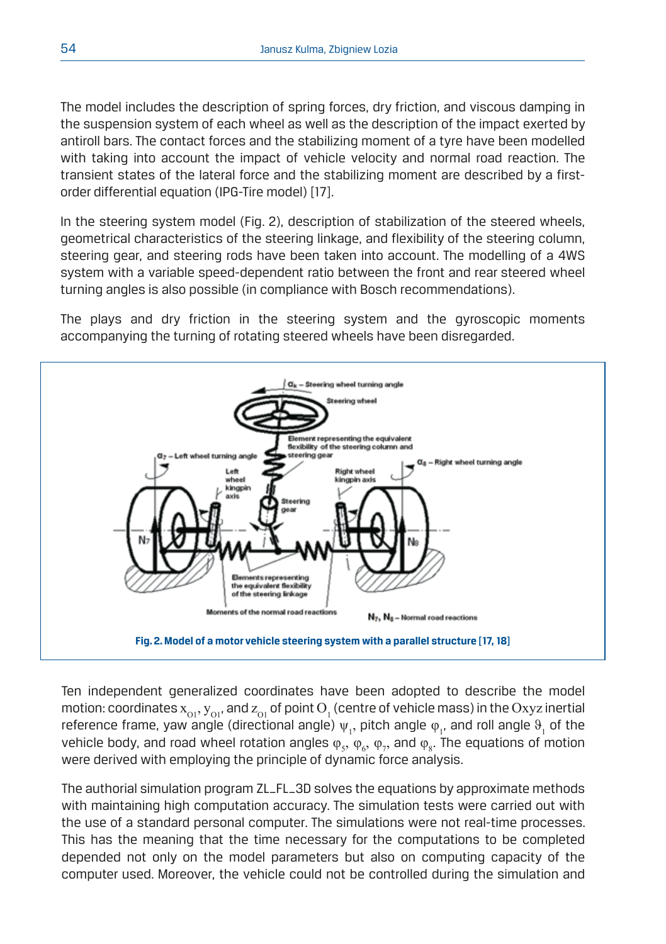The model includes the description of spring forces, dry friction, and viscous damping in the suspension system of each wheel as well as the description of the impact exerted by antiroll bars. The contact forces and the stabilizing moment of a tyre have been modelled with taking into account the impact of vehicle velocity and normal road reaction. The transient states of the lateral force and the stabilizing moment are described by a firstorder differential equation (IPG-Tire model) [17].

In the steering system model (Fig. 2), description of stabilization of the steered wheels, geometrical characteristics of the steering linkage, and flexibility of the steering column, steering gear, and steering rods have been taken into account. The modelling of a 4WS system with a variable speed-dependent ratio between the front and rear steered wheel turning angles is also possible (in compliance with Bosch recommendations).

The plays and dry friction in the steering system and the gyroscopic moments accompanying the turning of rotating steered wheels have been disregarded.



Ten independent generalized coordinates have been adopted to describe the model motion: coordinates  $\mathrm{x_{_{O1}}}, \mathrm{y_{_{O1}}}$ , and  $\mathrm{z_{_{O1}}}$  of point  $\mathrm{O_{_1}}$  (centre of vehicle mass) in the  $\mathrm{Oxyz}$  inertial reference frame, yaw angle (directional angle)  $\psi_1$ , pitch angle  $\phi_1$ , and roll angle  $\vartheta_1$  of the vehicle body, and road wheel rotation angles  $\varphi_{5},\,\varphi_{6},\,\varphi_{7},$  and  $\varphi_{8}$ . The equations of motion were derived with employing the principle of dynamic force analysis.

The authorial simulation program ZL\_FL\_3D solves the equations by approximate methods with maintaining high computation accuracy. The simulation tests were carried out with the use of a standard personal computer. The simulations were not real-time processes. This has the meaning that the time necessary for the computations to be completed depended not only on the model parameters but also on computing capacity of the computer used. Moreover, the vehicle could not be controlled during the simulation and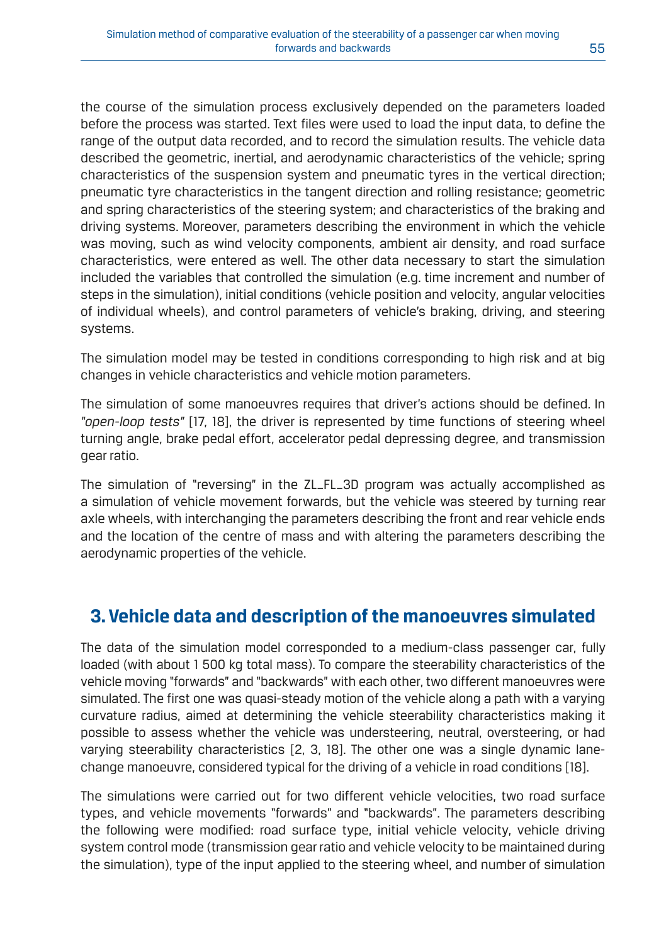the course of the simulation process exclusively depended on the parameters loaded before the process was started. Text files were used to load the input data, to define the range of the output data recorded, and to record the simulation results. The vehicle data described the geometric, inertial, and aerodynamic characteristics of the vehicle; spring characteristics of the suspension system and pneumatic tyres in the vertical direction; pneumatic tyre characteristics in the tangent direction and rolling resistance; geometric and spring characteristics of the steering system; and characteristics of the braking and driving systems. Moreover, parameters describing the environment in which the vehicle was moving, such as wind velocity components, ambient air density, and road surface characteristics, were entered as well. The other data necessary to start the simulation included the variables that controlled the simulation (e.g. time increment and number of steps in the simulation), initial conditions (vehicle position and velocity, angular velocities of individual wheels), and control parameters of vehicle's braking, driving, and steering systems.

The simulation model may be tested in conditions corresponding to high risk and at big changes in vehicle characteristics and vehicle motion parameters.

The simulation of some manoeuvres requires that driver's actions should be defined. In *"open-loop tests"* [17, 18], the driver is represented by time functions of steering wheel turning angle, brake pedal effort, accelerator pedal depressing degree, and transmission gear ratio.

The simulation of "reversing" in the ZL\_FL\_3D program was actually accomplished as a simulation of vehicle movement forwards, but the vehicle was steered by turning rear axle wheels, with interchanging the parameters describing the front and rear vehicle ends and the location of the centre of mass and with altering the parameters describing the aerodynamic properties of the vehicle.

# **3. Vehicle data and description of the manoeuvres simulated**

The data of the simulation model corresponded to a medium-class passenger car, fully loaded (with about 1 500 kg total mass). To compare the steerability characteristics of the vehicle moving "forwards" and "backwards" with each other, two different manoeuvres were simulated. The first one was quasi-steady motion of the vehicle along a path with a varying curvature radius, aimed at determining the vehicle steerability characteristics making it possible to assess whether the vehicle was understeering, neutral, oversteering, or had varying steerability characteristics [2, 3, 18]. The other one was a single dynamic lanechange manoeuvre, considered typical for the driving of a vehicle in road conditions [18].

The simulations were carried out for two different vehicle velocities, two road surface types, and vehicle movements "forwards" and "backwards". The parameters describing the following were modified: road surface type, initial vehicle velocity, vehicle driving system control mode (transmission gear ratio and vehicle velocity to be maintained during the simulation), type of the input applied to the steering wheel, and number of simulation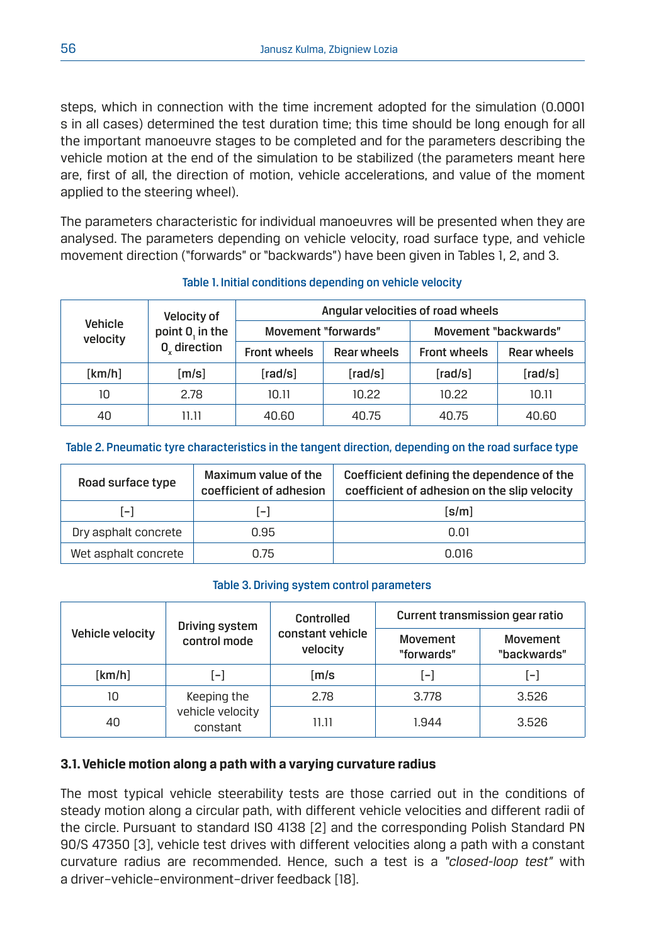steps, which in connection with the time increment adopted for the simulation (0.0001 s in all cases) determined the test duration time; this time should be long enough for all the important manoeuvre stages to be completed and for the parameters describing the vehicle motion at the end of the simulation to be stabilized (the parameters meant here are, first of all, the direction of motion, vehicle accelerations, and value of the moment applied to the steering wheel).

The parameters characteristic for individual manoeuvres will be presented when they are analysed. The parameters depending on vehicle velocity, road surface type, and vehicle movement direction ("forwards" or "backwards") have been given in Tables 1, 2, and 3.

| Vehicle<br>velocity | Velocity of<br>point 0, in the<br>0 direction | Angular velocities of road wheels |             |                      |             |
|---------------------|-----------------------------------------------|-----------------------------------|-------------|----------------------|-------------|
|                     |                                               | Movement "forwards"               |             | Movement "backwards" |             |
|                     |                                               | <b>Front wheels</b>               | Rear wheels | <b>Front wheels</b>  | Rear wheels |
| [km/h]              | [m/s]                                         | [rad/s]                           | [rad/s]     | [rad/s]              | [rad/s]     |
| 10                  | 2.78                                          | 10.11                             | 10.22       | 10.22                | 10.11       |
| 40                  | 11.11                                         | 40.60                             | 40.75       | 40.75                | 40.60       |

## Table 1. Initial conditions depending on vehicle velocity

## Table 2. Pneumatic tyre characteristics in the tangent direction, depending on the road surface type

| Road surface type    | Maximum value of the<br>coefficient of adhesion | Coefficient defining the dependence of the<br>coefficient of adhesion on the slip velocity |
|----------------------|-------------------------------------------------|--------------------------------------------------------------------------------------------|
| $[-]$                | l-l                                             | [s/m]                                                                                      |
| Dry asphalt concrete | 0.95                                            | 0.01                                                                                       |
| Wet asphalt concrete | 0.75                                            | 0.016                                                                                      |

## Table 3. Driving system control parameters

|                  | Driving system<br>control mode | Controlled                   | Current transmission gear ratio |                         |
|------------------|--------------------------------|------------------------------|---------------------------------|-------------------------|
| Vehicle velocity |                                | constant vehicle<br>velocity | Movement<br>"forwards"          | Movement<br>"backwards" |
| [km/h]           | $\mathbf{F}$                   | [m/s                         | [–]                             | l-l                     |
| 10               | Keeping the                    | 2.78                         | 3.778                           | 3.526                   |
| 40               | vehicle velocity<br>constant   | 11.11                        | 1.944                           | 3.526                   |

## **3.1. Vehicle motion along a path with a varying curvature radius**

The most typical vehicle steerability tests are those carried out in the conditions of steady motion along a circular path, with different vehicle velocities and different radii of the circle. Pursuant to standard ISO 4138 [2] and the corresponding Polish Standard PN 90/S 47350 [3], vehicle test drives with different velocities along a path with a constant curvature radius are recommended. Hence, such a test is a *"closed-loop test"* with a driver–vehicle–environment–driver feedback [18].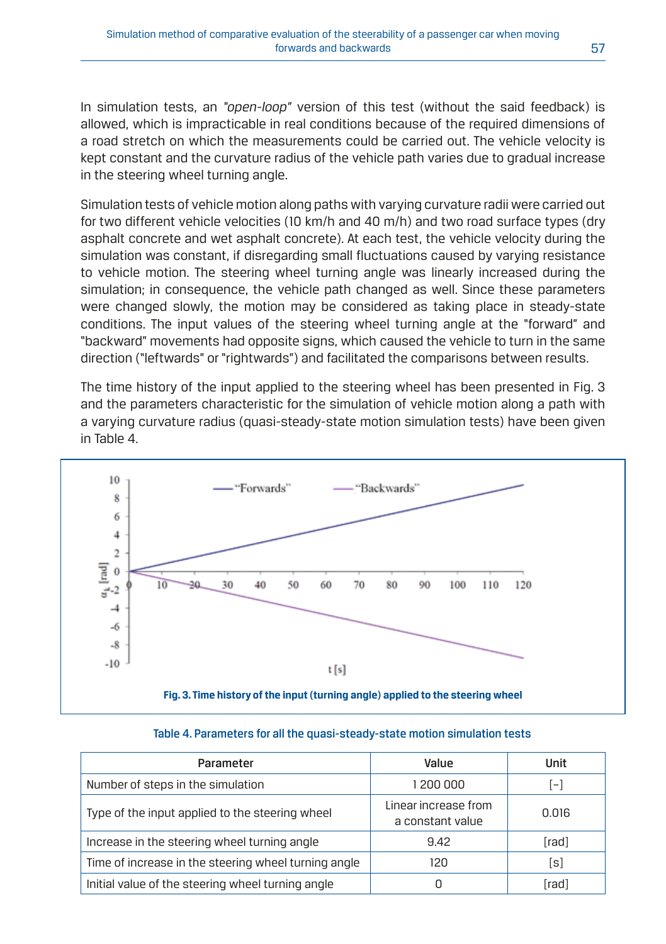In simulation tests, an *"open-loop"* version of this test (without the said feedback) is allowed, which is impracticable in real conditions because of the required dimensions of a road stretch on which the measurements could be carried out. The vehicle velocity is kept constant and the curvature radius of the vehicle path varies due to gradual increase in the steering wheel turning angle.

Simulation tests of vehicle motion along paths with varying curvature radii were carried out for two different vehicle velocities (10 km/h and 40 m/h) and two road surface types (dry asphalt concrete and wet asphalt concrete). At each test, the vehicle velocity during the simulation was constant, if disregarding small fluctuations caused by varying resistance to vehicle motion. The steering wheel turning angle was linearly increased during the simulation; in consequence, the vehicle path changed as well. Since these parameters were changed slowly, the motion may be considered as taking place in steady-state conditions. The input values of the steering wheel turning angle at the "forward" and "backward" movements had opposite signs, which caused the vehicle to turn in the same direction ("leftwards" or "rightwards") and facilitated the comparisons between results.

The time history of the input applied to the steering wheel has been presented in Fig. 3 and the parameters characteristic for the simulation of vehicle motion along a path with a varying curvature radius (quasi-steady-state motion simulation tests) have been given in Table 4.



| Parameter                                            | Value                                    | Unit  |
|------------------------------------------------------|------------------------------------------|-------|
| Number of steps in the simulation                    | 1 200 000                                | $[-]$ |
| Type of the input applied to the steering wheel      | Linear increase from<br>a constant value | 0.016 |
| Increase in the steering wheel turning angle         | 9.42                                     | [rad] |
| Time of increase in the steering wheel turning angle | 120                                      | [s]   |
| Initial value of the steering wheel turning angle    |                                          | [rad] |

#### Table 4. Parameters for all the quasi-steady-state motion simulation tests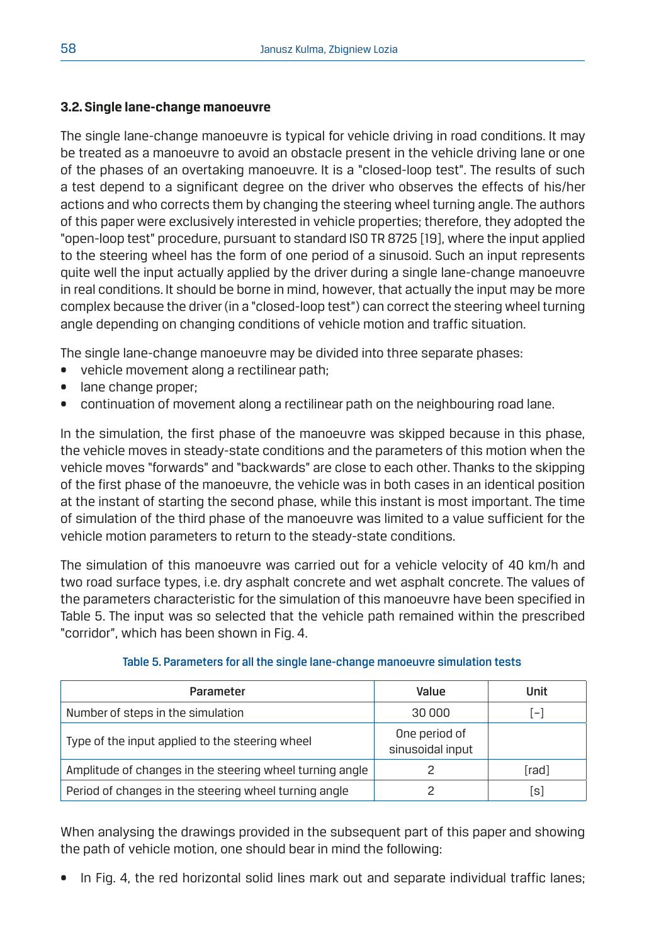## **3.2. Single lane-change manoeuvre**

The single lane-change manoeuvre is typical for vehicle driving in road conditions. It may be treated as a manoeuvre to avoid an obstacle present in the vehicle driving lane or one of the phases of an overtaking manoeuvre. It is a "closed-loop test". The results of such a test depend to a significant degree on the driver who observes the effects of his/her actions and who corrects them by changing the steering wheel turning angle. The authors of this paper were exclusively interested in vehicle properties; therefore, they adopted the "open-loop test" procedure, pursuant to standard ISO TR 8725 [19], where the input applied to the steering wheel has the form of one period of a sinusoid. Such an input represents quite well the input actually applied by the driver during a single lane-change manoeuvre in real conditions. It should be borne in mind, however, that actually the input may be more complex because the driver (in a "closed-loop test") can correct the steering wheel turning angle depending on changing conditions of vehicle motion and traffic situation.

The single lane-change manoeuvre may be divided into three separate phases:

- vehicle movement along a rectilinear path;
- lane change proper;
- continuation of movement along a rectilinear path on the neighbouring road lane.

In the simulation, the first phase of the manoeuvre was skipped because in this phase, the vehicle moves in steady-state conditions and the parameters of this motion when the vehicle moves "forwards" and "backwards" are close to each other. Thanks to the skipping of the first phase of the manoeuvre, the vehicle was in both cases in an identical position at the instant of starting the second phase, while this instant is most important. The time of simulation of the third phase of the manoeuvre was limited to a value sufficient for the vehicle motion parameters to return to the steady-state conditions.

The simulation of this manoeuvre was carried out for a vehicle velocity of 40 km/h and two road surface types, i.e. dry asphalt concrete and wet asphalt concrete. The values of the parameters characteristic for the simulation of this manoeuvre have been specified in Table 5. The input was so selected that the vehicle path remained within the prescribed "corridor", which has been shown in Fig. 4.

| Parameter                                                | Value                             | Unit           |
|----------------------------------------------------------|-----------------------------------|----------------|
| Number of steps in the simulation                        | 30 000                            | $\overline{ }$ |
| Type of the input applied to the steering wheel          | One period of<br>sinusoidal input |                |
| Amplitude of changes in the steering wheel turning angle |                                   | [rad]          |
| Period of changes in the steering wheel turning angle    |                                   | [s]            |

## Table 5. Parameters for all the single lane-change manoeuvre simulation tests

When analysing the drawings provided in the subsequent part of this paper and showing the path of vehicle motion, one should bear in mind the following:

In Fig. 4, the red horizontal solid lines mark out and separate individual traffic lanes;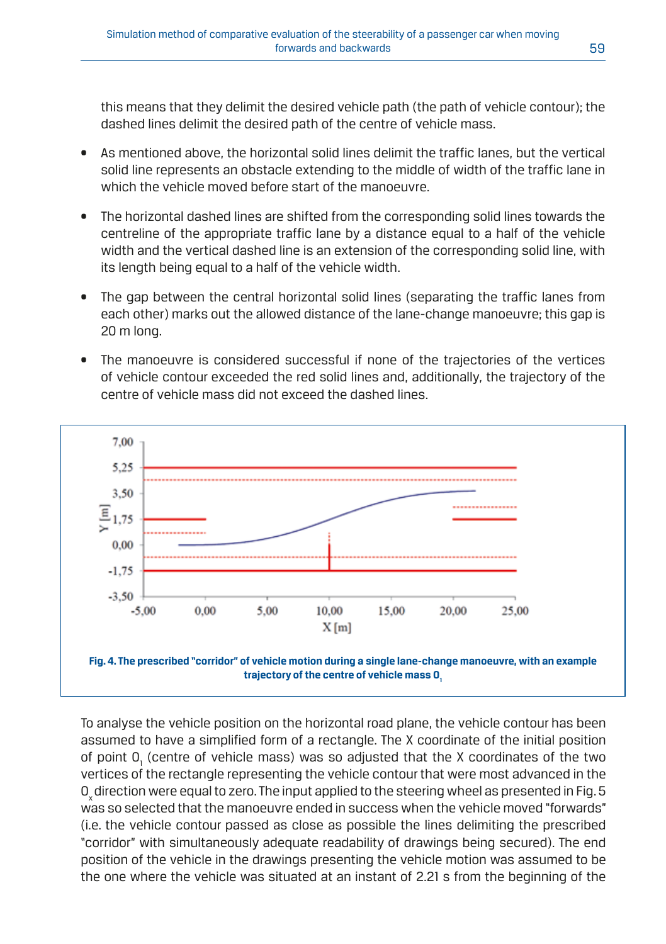this means that they delimit the desired vehicle path (the path of vehicle contour); the dashed lines delimit the desired path of the centre of vehicle mass.

- As mentioned above, the horizontal solid lines delimit the traffic lanes, but the vertical solid line represents an obstacle extending to the middle of width of the traffic lane in which the vehicle moved before start of the manoeuvre.
- The horizontal dashed lines are shifted from the corresponding solid lines towards the centreline of the appropriate traffic lane by a distance equal to a half of the vehicle width and the vertical dashed line is an extension of the corresponding solid line, with its length being equal to a half of the vehicle width.
- The gap between the central horizontal solid lines (separating the traffic lanes from each other) marks out the allowed distance of the lane-change manoeuvre; this gap is 20 m long.
- The manoeuvre is considered successful if none of the trajectories of the vertices of vehicle contour exceeded the red solid lines and, additionally, the trajectory of the centre of vehicle mass did not exceed the dashed lines.



To analyse the vehicle position on the horizontal road plane, the vehicle contour has been assumed to have a simplified form of a rectangle. The X coordinate of the initial position of point  $0<sub>1</sub>$  (centre of vehicle mass) was so adjusted that the X coordinates of the two vertices of the rectangle representing the vehicle contour that were most advanced in the  $O<sub>a</sub>$  direction were equal to zero. The input applied to the steering wheel as presented in Fig. 5 was so selected that the manoeuvre ended in success when the vehicle moved "forwards" (i.e. the vehicle contour passed as close as possible the lines delimiting the prescribed "corridor" with simultaneously adequate readability of drawings being secured). The end position of the vehicle in the drawings presenting the vehicle motion was assumed to be the one where the vehicle was situated at an instant of 2.21 s from the beginning of the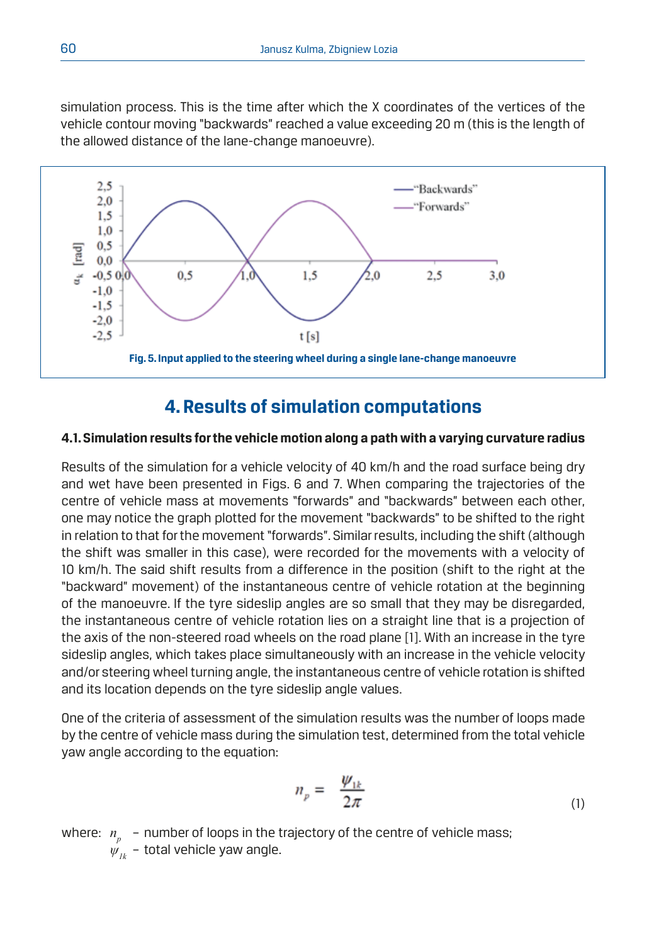simulation process. This is the time after which the X coordinates of the vertices of the vehicle contour moving "backwards" reached a value exceeding 20 m (this is the length of the allowed distance of the lane-change manoeuvre).



# **4. Results of simulation computations**

## **4.1. Simulation results for the vehicle motion along a path with a varying curvature radius**

Results of the simulation for a vehicle velocity of 40 km/h and the road surface being dry and wet have been presented in Figs. 6 and 7. When comparing the trajectories of the centre of vehicle mass at movements "forwards" and "backwards" between each other, one may notice the graph plotted for the movement "backwards" to be shifted to the right in relation to that for the movement "forwards". Similar results, including the shift (although the shift was smaller in this case), were recorded for the movements with a velocity of 10 km/h. The said shift results from a difference in the position (shift to the right at the "backward" movement) of the instantaneous centre of vehicle rotation at the beginning of the manoeuvre. If the tyre sideslip angles are so small that they may be disregarded, the instantaneous centre of vehicle rotation lies on a straight line that is a projection of the axis of the non-steered road wheels on the road plane [1]. With an increase in the tyre sideslip angles, which takes place simultaneously with an increase in the vehicle velocity and/or steering wheel turning angle, the instantaneous centre of vehicle rotation is shifted and its location depends on the tyre sideslip angle values.

One of the criteria of assessment of the simulation results was the number of loops made by the centre of vehicle mass during the simulation test, determined from the total vehicle yaw angle according to the equation:

$$
n_p = \frac{\psi_{1k}}{2\pi} \tag{1}
$$

where:  $n_{\rm s}$  – number of loops in the trajectory of the centre of vehicle mass;  $\psi_{ik}$  – total vehicle yaw angle.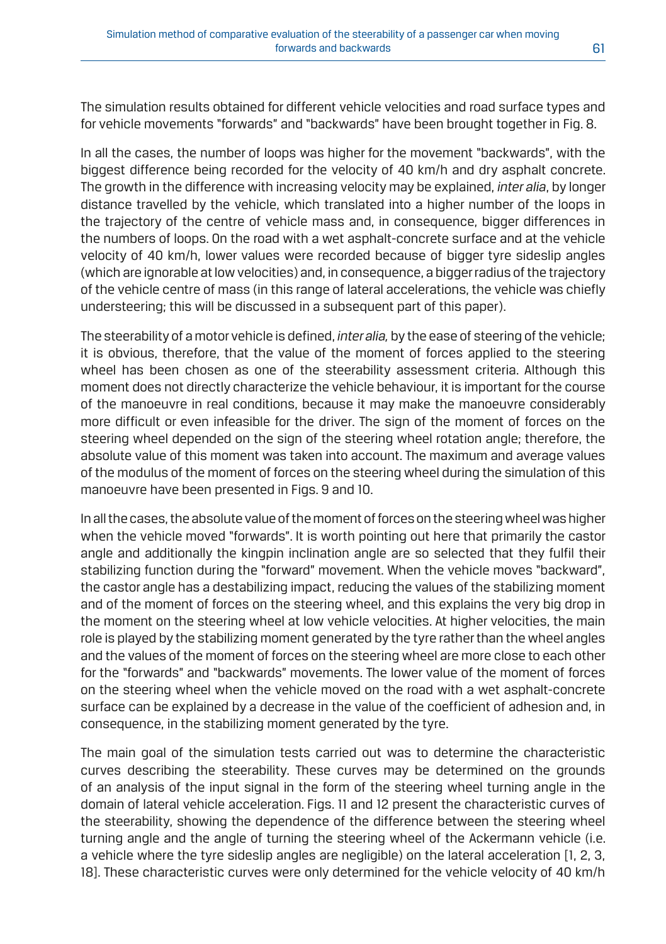The simulation results obtained for different vehicle velocities and road surface types and for vehicle movements "forwards" and "backwards" have been brought together in Fig. 8.

In all the cases, the number of loops was higher for the movement "backwards", with the biggest difference being recorded for the velocity of 40 km/h and dry asphalt concrete. The growth in the difference with increasing velocity may be explained, *inter alia*, by longer distance travelled by the vehicle, which translated into a higher number of the loops in the trajectory of the centre of vehicle mass and, in consequence, bigger differences in the numbers of loops. On the road with a wet asphalt-concrete surface and at the vehicle velocity of 40 km/h, lower values were recorded because of bigger tyre sideslip angles (which are ignorable at low velocities) and, in consequence, a bigger radius of the trajectory of the vehicle centre of mass (in this range of lateral accelerations, the vehicle was chiefly understeering; this will be discussed in a subsequent part of this paper).

The steerability of a motor vehicle is defined, *inter alia,* by the ease of steering of the vehicle; it is obvious, therefore, that the value of the moment of forces applied to the steering wheel has been chosen as one of the steerability assessment criteria. Although this moment does not directly characterize the vehicle behaviour, it is important for the course of the manoeuvre in real conditions, because it may make the manoeuvre considerably more difficult or even infeasible for the driver. The sign of the moment of forces on the steering wheel depended on the sign of the steering wheel rotation angle; therefore, the absolute value of this moment was taken into account. The maximum and average values of the modulus of the moment of forces on the steering wheel during the simulation of this manoeuvre have been presented in Figs. 9 and 10.

In all the cases, the absolute value of the moment of forces on the steering wheel was higher when the vehicle moved "forwards". It is worth pointing out here that primarily the castor angle and additionally the kingpin inclination angle are so selected that they fulfil their stabilizing function during the "forward" movement. When the vehicle moves "backward", the castor angle has a destabilizing impact, reducing the values of the stabilizing moment and of the moment of forces on the steering wheel, and this explains the very big drop in the moment on the steering wheel at low vehicle velocities. At higher velocities, the main role is played by the stabilizing moment generated by the tyre rather than the wheel angles and the values of the moment of forces on the steering wheel are more close to each other for the "forwards" and "backwards" movements. The lower value of the moment of forces on the steering wheel when the vehicle moved on the road with a wet asphalt-concrete surface can be explained by a decrease in the value of the coefficient of adhesion and, in consequence, in the stabilizing moment generated by the tyre.

The main goal of the simulation tests carried out was to determine the characteristic curves describing the steerability. These curves may be determined on the grounds of an analysis of the input signal in the form of the steering wheel turning angle in the domain of lateral vehicle acceleration. Figs. 11 and 12 present the characteristic curves of the steerability, showing the dependence of the difference between the steering wheel turning angle and the angle of turning the steering wheel of the Ackermann vehicle (i.e. a vehicle where the tyre sideslip angles are negligible) on the lateral acceleration [1, 2, 3, 18]. These characteristic curves were only determined for the vehicle velocity of 40 km/h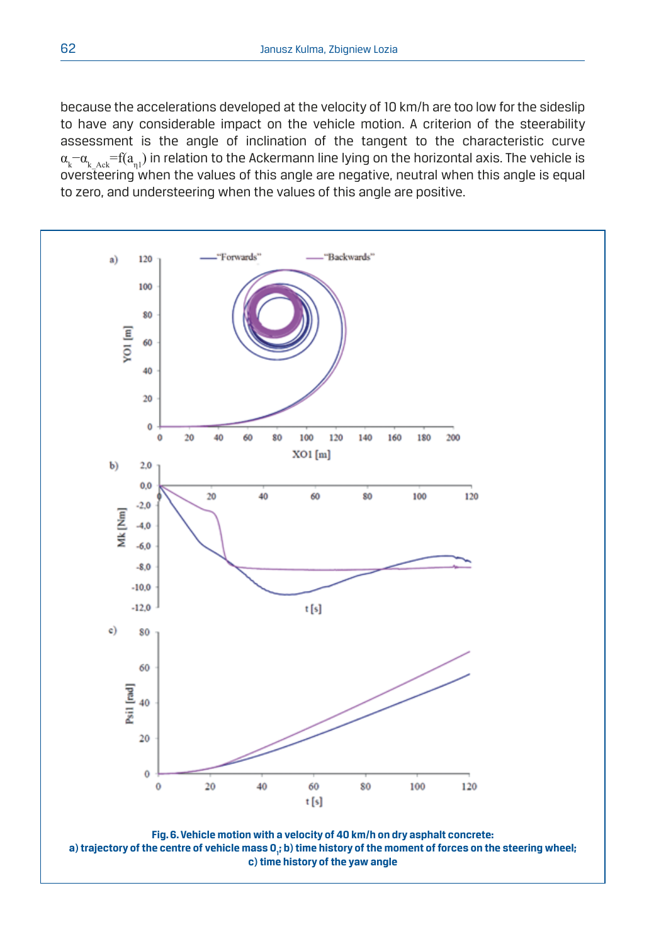because the accelerations developed at the velocity of 10 km/h are too low for the sideslip to have any considerable impact on the vehicle motion. A criterion of the steerability assessment is the angle of inclination of the tangent to the characteristic curve  $\alpha_{\rm k}$ – $\alpha_{\rm k\_Ack}$ =f( $a_{\rm q1}$ ) in relation to the Ackermann line lying on the horizontal axis. The vehicle is oversteering when the values of this angle are negative, neutral when this angle is equal to zero, and understeering when the values of this angle are positive.

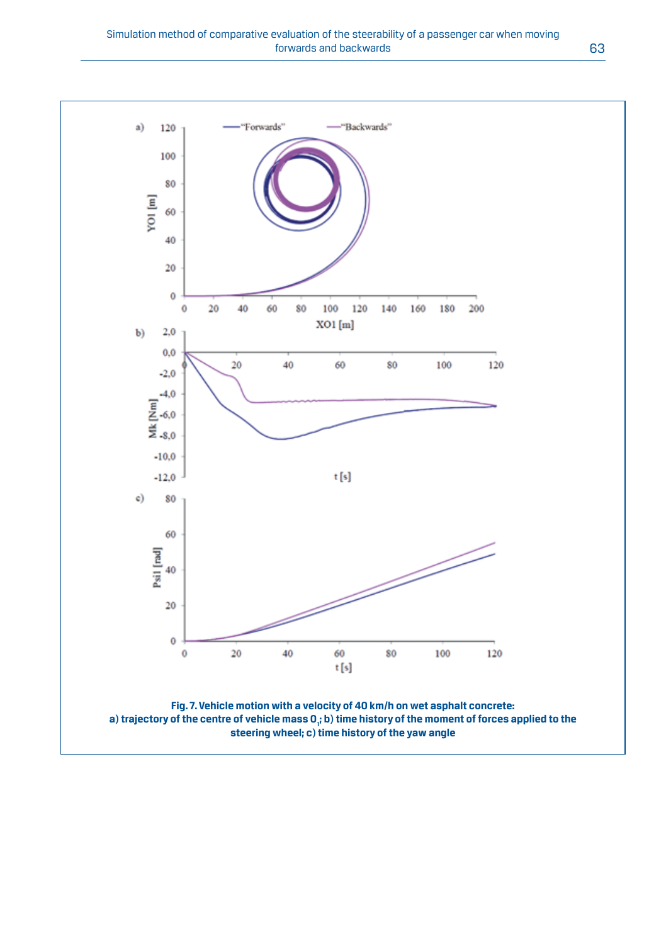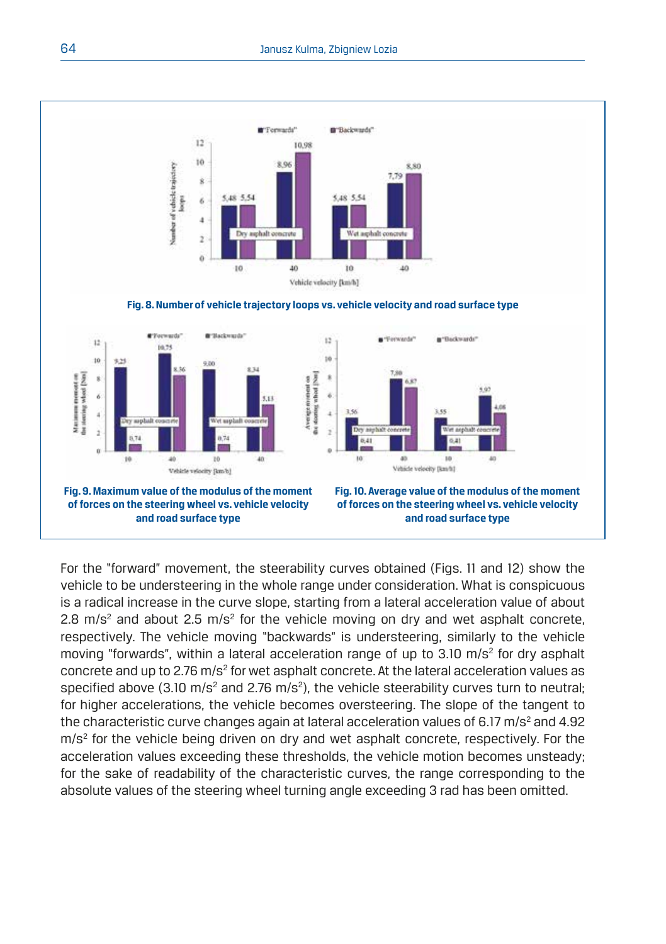

For the "forward" movement, the steerability curves obtained (Figs. 11 and 12) show the vehicle to be understeering in the whole range under consideration. What is conspicuous is a radical increase in the curve slope, starting from a lateral acceleration value of about 2.8 m/s<sup>2</sup> and about 2.5 m/s<sup>2</sup> for the vehicle moving on dry and wet asphalt concrete, respectively. The vehicle moving "backwards" is understeering, similarly to the vehicle moving "forwards", within a lateral acceleration range of up to 3.10 m/s<sup>2</sup> for dry asphalt concrete and up to 2.76 m/s<sup>2</sup> for wet asphalt concrete. At the lateral acceleration values as specified above (3.10 m/s<sup>2</sup> and 2.76 m/s<sup>2</sup>), the vehicle steerability curves turn to neutral; for higher accelerations, the vehicle becomes oversteering. The slope of the tangent to the characteristic curve changes again at lateral acceleration values of 6.17 m/s<sup>2</sup> and 4.92 m/s<sup>2</sup> for the vehicle being driven on dry and wet asphalt concrete, respectively. For the acceleration values exceeding these thresholds, the vehicle motion becomes unsteady; for the sake of readability of the characteristic curves, the range corresponding to the absolute values of the steering wheel turning angle exceeding 3 rad has been omitted.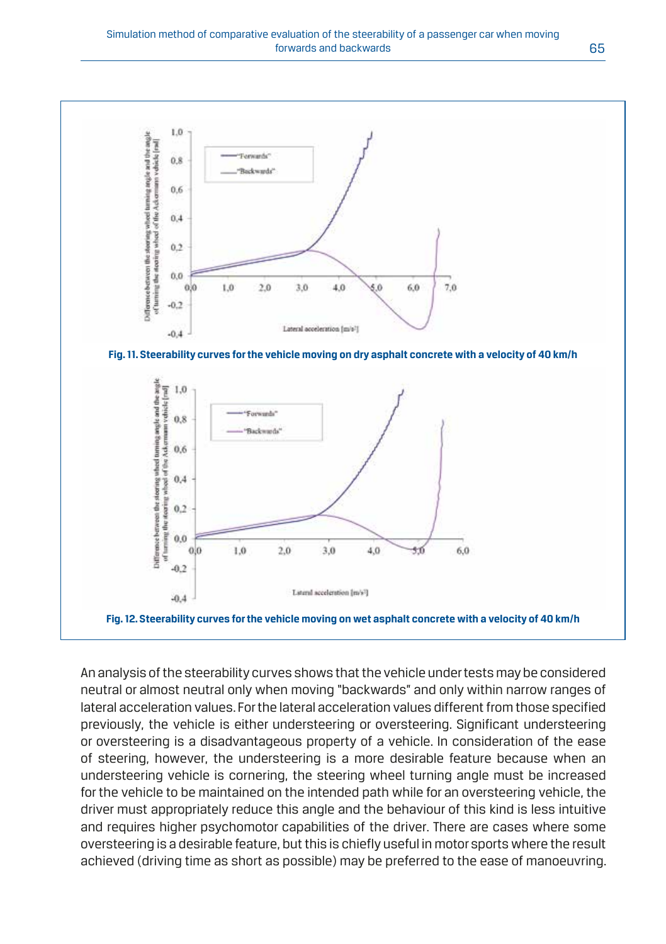

An analysis of the steerability curves shows that the vehicle under tests may be considered neutral or almost neutral only when moving "backwards" and only within narrow ranges of lateral acceleration values. For the lateral acceleration values different from those specified previously, the vehicle is either understeering or oversteering. Significant understeering or oversteering is a disadvantageous property of a vehicle. In consideration of the ease of steering, however, the understeering is a more desirable feature because when an understeering vehicle is cornering, the steering wheel turning angle must be increased for the vehicle to be maintained on the intended path while for an oversteering vehicle, the driver must appropriately reduce this angle and the behaviour of this kind is less intuitive and requires higher psychomotor capabilities of the driver. There are cases where some oversteering is a desirable feature, but this is chiefly useful in motor sports where the result achieved (driving time as short as possible) may be preferred to the ease of manoeuvring.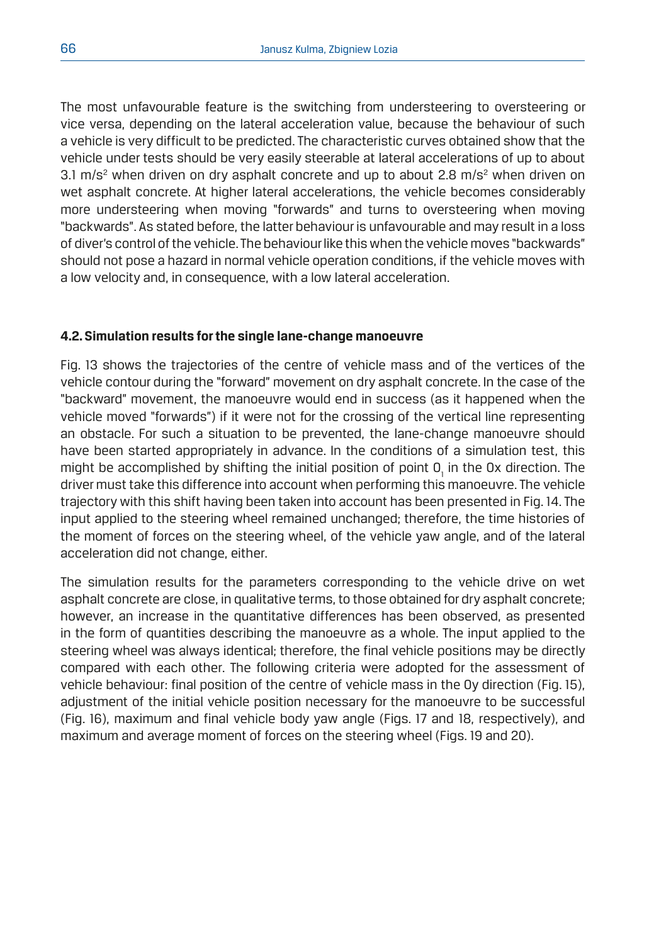The most unfavourable feature is the switching from understeering to oversteering or vice versa, depending on the lateral acceleration value, because the behaviour of such a vehicle is very difficult to be predicted. The characteristic curves obtained show that the vehicle under tests should be very easily steerable at lateral accelerations of up to about 3.1 m/s<sup>2</sup> when driven on dry asphalt concrete and up to about 2.8 m/s<sup>2</sup> when driven on wet asphalt concrete. At higher lateral accelerations, the vehicle becomes considerably more understeering when moving "forwards" and turns to oversteering when moving "backwards". As stated before, the latter behaviour is unfavourable and may result in a loss of diver's control of the vehicle. The behaviour like this when the vehicle moves "backwards" should not pose a hazard in normal vehicle operation conditions, if the vehicle moves with a low velocity and, in consequence, with a low lateral acceleration.

## **4.2. Simulation results for the single lane-change manoeuvre**

Fig. 13 shows the trajectories of the centre of vehicle mass and of the vertices of the vehicle contour during the "forward" movement on dry asphalt concrete. In the case of the "backward" movement, the manoeuvre would end in success (as it happened when the vehicle moved "forwards") if it were not for the crossing of the vertical line representing an obstacle. For such a situation to be prevented, the lane-change manoeuvre should have been started appropriately in advance. In the conditions of a simulation test, this might be accomplished by shifting the initial position of point  $0_{\text{I}}$  in the 0x direction. The driver must take this difference into account when performing this manoeuvre. The vehicle trajectory with this shift having been taken into account has been presented in Fig. 14. The input applied to the steering wheel remained unchanged; therefore, the time histories of the moment of forces on the steering wheel, of the vehicle yaw angle, and of the lateral acceleration did not change, either.

The simulation results for the parameters corresponding to the vehicle drive on wet asphalt concrete are close, in qualitative terms, to those obtained for dry asphalt concrete; however, an increase in the quantitative differences has been observed, as presented in the form of quantities describing the manoeuvre as a whole. The input applied to the steering wheel was always identical; therefore, the final vehicle positions may be directly compared with each other. The following criteria were adopted for the assessment of vehicle behaviour: final position of the centre of vehicle mass in the Oy direction (Fig. 15), adjustment of the initial vehicle position necessary for the manoeuvre to be successful (Fig. 16), maximum and final vehicle body yaw angle (Figs. 17 and 18, respectively), and maximum and average moment of forces on the steering wheel (Figs. 19 and 20).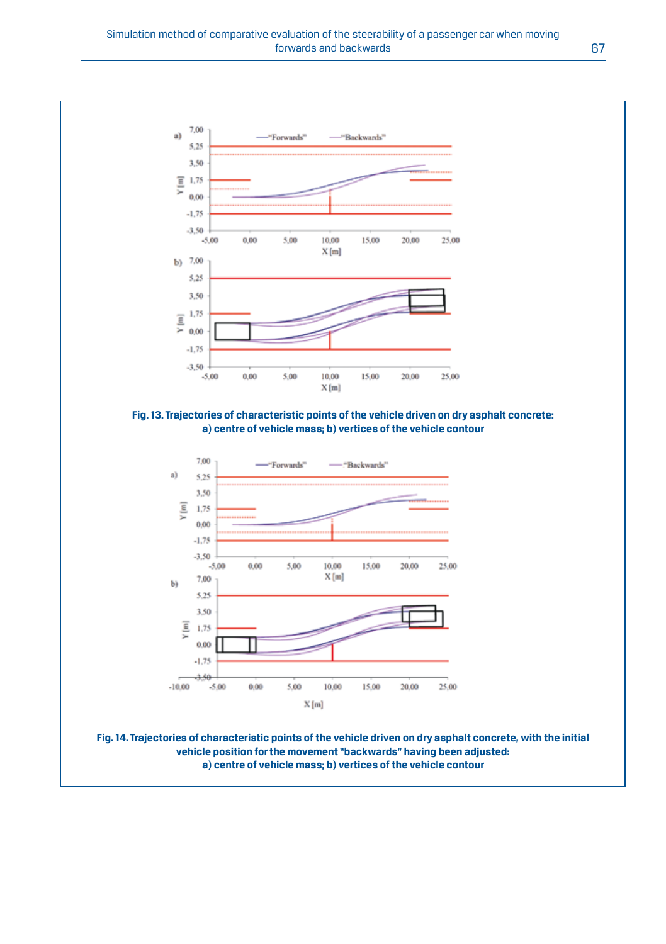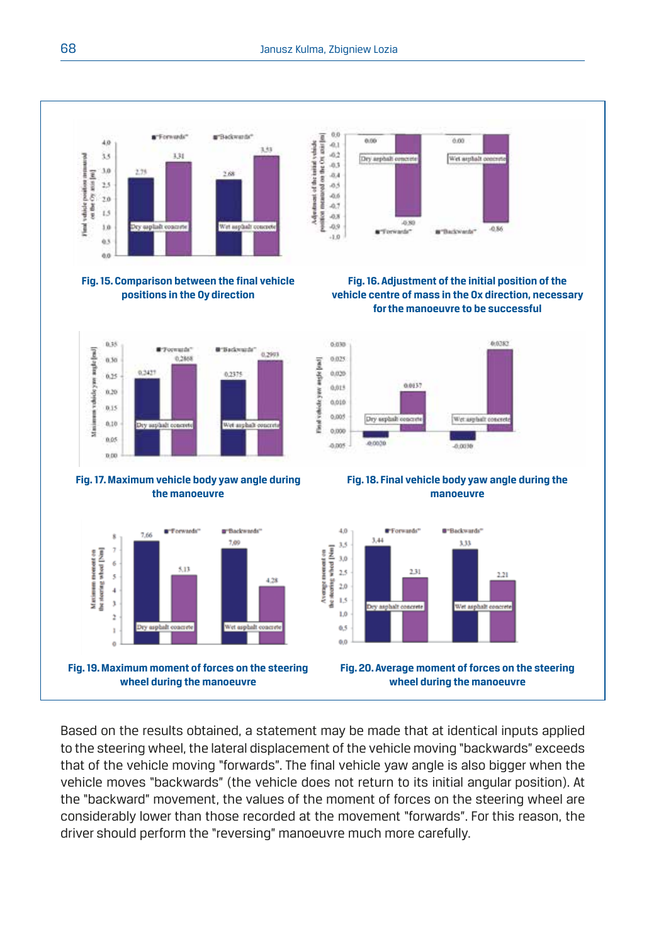

Based on the results obtained, a statement may be made that at identical inputs applied to the steering wheel, the lateral displacement of the vehicle moving "backwards" exceeds that of the vehicle moving "forwards". The final vehicle yaw angle is also bigger when the vehicle moves "backwards" (the vehicle does not return to its initial angular position). At the "backward" movement, the values of the moment of forces on the steering wheel are considerably lower than those recorded at the movement "forwards". For this reason, the driver should perform the "reversing" manoeuvre much more carefully.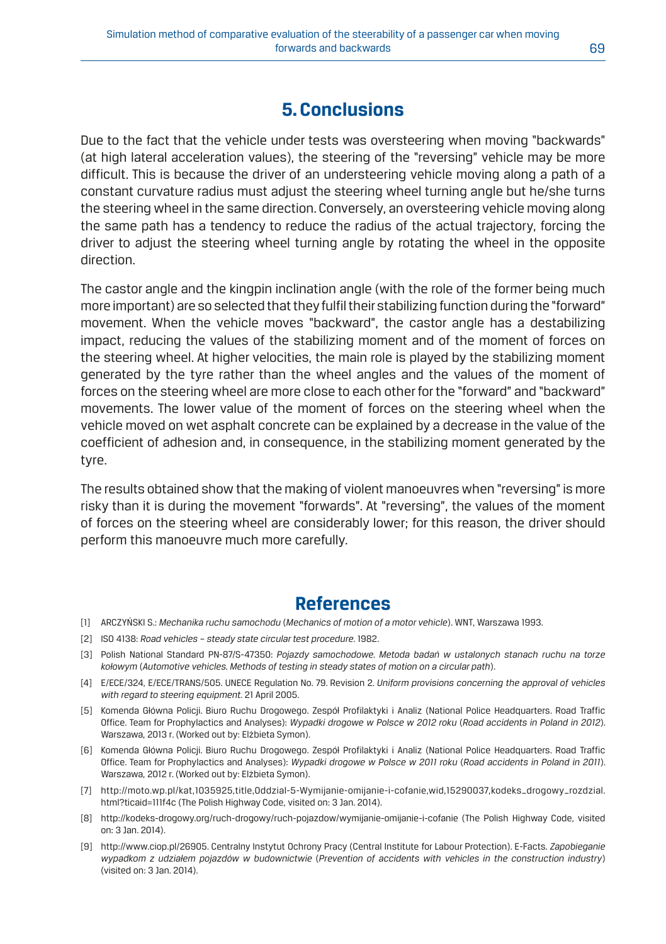# **5. Conclusions**

Due to the fact that the vehicle under tests was oversteering when moving "backwards" (at high lateral acceleration values), the steering of the "reversing" vehicle may be more difficult. This is because the driver of an understeering vehicle moving along a path of a constant curvature radius must adjust the steering wheel turning angle but he/she turns the steering wheel in the same direction. Conversely, an oversteering vehicle moving along the same path has a tendency to reduce the radius of the actual trajectory, forcing the driver to adjust the steering wheel turning angle by rotating the wheel in the opposite direction.

The castor angle and the kingpin inclination angle (with the role of the former being much more important) are so selected that they fulfil their stabilizing function during the "forward" movement. When the vehicle moves "backward", the castor angle has a destabilizing impact, reducing the values of the stabilizing moment and of the moment of forces on the steering wheel. At higher velocities, the main role is played by the stabilizing moment generated by the tyre rather than the wheel angles and the values of the moment of forces on the steering wheel are more close to each other for the "forward" and "backward" movements. The lower value of the moment of forces on the steering wheel when the vehicle moved on wet asphalt concrete can be explained by a decrease in the value of the coefficient of adhesion and, in consequence, in the stabilizing moment generated by the tyre.

The results obtained show that the making of violent manoeuvres when "reversing" is more risky than it is during the movement "forwards". At "reversing", the values of the moment of forces on the steering wheel are considerably lower; for this reason, the driver should perform this manoeuvre much more carefully.

# **References**

- [1] ARCZYŃSKI S.: *Mechanika ruchu samochodu* (*Mechanics of motion of a motor vehicle*). WNT, Warszawa 1993.
- [2] ISO 4138: Road vehicles steady state circular test procedure. 1982.
- [3] Polish National Standard PN-87/S-47350: *Pojazdy samochodowe. Metoda badań w ustalonych stanach ruchu na torze kołowym* (*Automotive vehicles. Methods of testing in steady states of motion on a circular path*).
- [4] E/ECE/324, E/ECE/TRANS/505. UNECE Regulation No. 79. Revision 2. *Uniform provisions concerning the approval of vehicles with regard to steering equipment.* 21 April 2005.
- [5] Komenda Główna Policji. Biuro Ruchu Drogowego. Zespół Profilaktyki i Analiz (National Police Headquarters. Road Traffic Office. Team for Prophylactics and Analyses): *Wypadki drogowe w Polsce w 2012 roku* (*Road accidents in Poland in 2012*). Warszawa, 2013 r. (Worked out by: Elżbieta Symon).
- [6] Komenda Główna Policji. Biuro Ruchu Drogowego. Zespół Profilaktyki i Analiz (National Police Headquarters. Road Traffic Office. Team for Prophylactics and Analyses): *Wypadki drogowe w Polsce w 2011 roku* (*Road accidents in Poland in 2011*). Warszawa, 2012 r. (Worked out by: Elżbieta Symon).
- [7] http://moto.wp.pl/kat,1035925,title,Oddzial-5-Wymijanie-omijanie-i-cofanie,wid,15290037,kodeks\_drogowy\_rozdzial. html?ticaid=111f4c (The Polish Highway Code, visited on: 3 Jan. 2014).
- [8] http://kodeks-drogowy.org/ruch-drogowy/ruch-pojazdow/wymijanie-omijanie-i-cofanie (The Polish Highway Code, visited on: 3 Jan. 2014).
- [9] http://www.ciop.pl/26905. Centralny Instytut Ochrony Pracy (Central Institute for Labour Protection). E-Facts. *Zapobieganie wypadkom z udziałem pojazdów w budownictwie* (*Prevention of accidents with vehicles in the construction industry*) (visited on: 3 Jan. 2014).